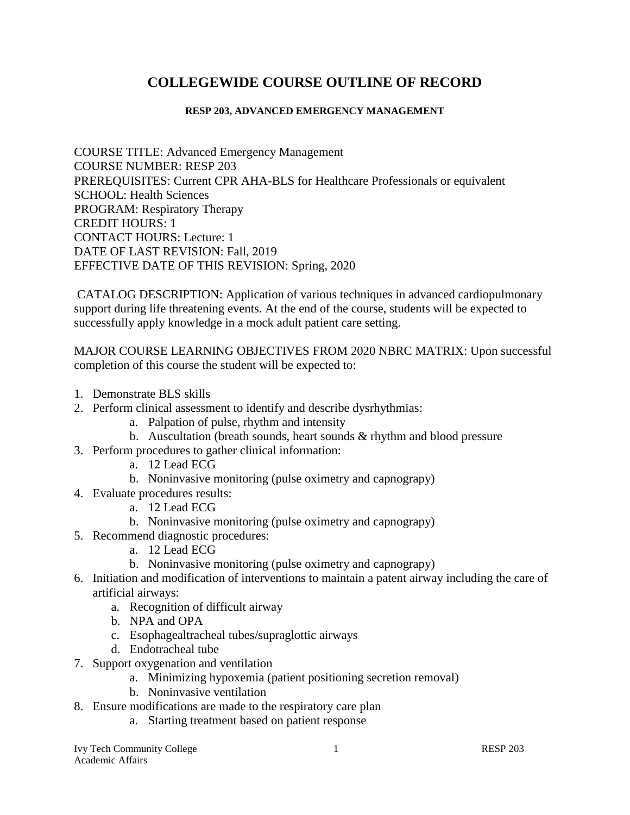# **COLLEGEWIDE COURSE OUTLINE OF RECORD**

#### **RESP 203, ADVANCED EMERGENCY MANAGEMENT**

COURSE TITLE: Advanced Emergency Management COURSE NUMBER: RESP 203 PREREQUISITES: Current CPR AHA-BLS for Healthcare Professionals or equivalent SCHOOL: Health Sciences PROGRAM: Respiratory Therapy CREDIT HOURS: 1 CONTACT HOURS: Lecture: 1 DATE OF LAST REVISION: Fall, 2019 EFFECTIVE DATE OF THIS REVISION: Spring, 2020

CATALOG DESCRIPTION: Application of various techniques in advanced cardiopulmonary support during life threatening events. At the end of the course, students will be expected to successfully apply knowledge in a mock adult patient care setting.

MAJOR COURSE LEARNING OBJECTIVES FROM 2020 NBRC MATRIX: Upon successful completion of this course the student will be expected to:

- 1. Demonstrate BLS skills
- 2. Perform clinical assessment to identify and describe dysrhythmias:
	- a. Palpation of pulse, rhythm and intensity
	- b. Auscultation (breath sounds, heart sounds & rhythm and blood pressure
- 3. Perform procedures to gather clinical information:
	- a. 12 Lead ECG
	- b. Noninvasive monitoring (pulse oximetry and capnograpy)
- 4. Evaluate procedures results:
	- a. 12 Lead ECG
	- b. Noninvasive monitoring (pulse oximetry and capnograpy)
- 5. Recommend diagnostic procedures:
	- a. 12 Lead ECG
	- b. Noninvasive monitoring (pulse oximetry and capnograpy)
- 6. Initiation and modification of interventions to maintain a patent airway including the care of artificial airways:
	- a. Recognition of difficult airway
	- b. NPA and OPA
	- c. Esophagealtracheal tubes/supraglottic airways
	- d. Endotracheal tube
- 7. Support oxygenation and ventilation
	- a. Minimizing hypoxemia (patient positioning secretion removal)
	- b. Noninvasive ventilation
- 8. Ensure modifications are made to the respiratory care plan
	- a. Starting treatment based on patient response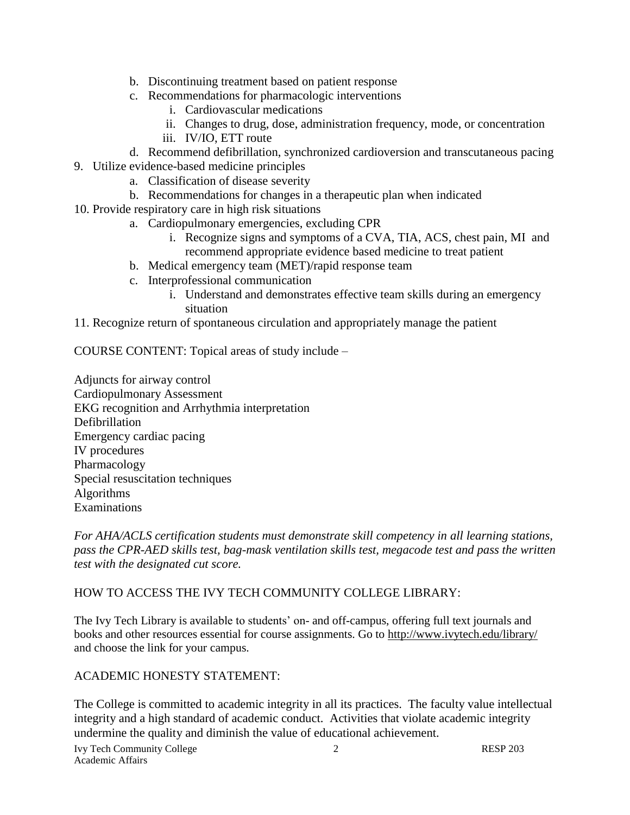- b. Discontinuing treatment based on patient response
- c. Recommendations for pharmacologic interventions
	- i. Cardiovascular medications
	- ii. Changes to drug, dose, administration frequency, mode, or concentration
	- iii. IV/IO, ETT route
- d. Recommend defibrillation, synchronized cardioversion and transcutaneous pacing
- 9. Utilize evidence-based medicine principles
	- a. Classification of disease severity
	- b. Recommendations for changes in a therapeutic plan when indicated
- 10. Provide respiratory care in high risk situations
	- a. Cardiopulmonary emergencies, excluding CPR
		- i. Recognize signs and symptoms of a CVA, TIA, ACS, chest pain, MI and recommend appropriate evidence based medicine to treat patient
	- b. Medical emergency team (MET)/rapid response team
	- c. Interprofessional communication
		- i. Understand and demonstrates effective team skills during an emergency situation
- 11. Recognize return of spontaneous circulation and appropriately manage the patient

COURSE CONTENT: Topical areas of study include –

Adjuncts for airway control Cardiopulmonary Assessment EKG recognition and Arrhythmia interpretation Defibrillation Emergency cardiac pacing IV procedures Pharmacology Special resuscitation techniques Algorithms Examinations

*For AHA/ACLS certification students must demonstrate skill competency in all learning stations, pass the CPR-AED skills test, bag-mask ventilation skills test, megacode test and pass the written test with the designated cut score.* 

# HOW TO ACCESS THE IVY TECH COMMUNITY COLLEGE LIBRARY:

The Ivy Tech Library is available to students' on- and off-campus, offering full text journals and books and other resources essential for course assignments. Go to<http://www.ivytech.edu/library/> and choose the link for your campus.

# ACADEMIC HONESTY STATEMENT:

The College is committed to academic integrity in all its practices. The faculty value intellectual integrity and a high standard of academic conduct. Activities that violate academic integrity undermine the quality and diminish the value of educational achievement.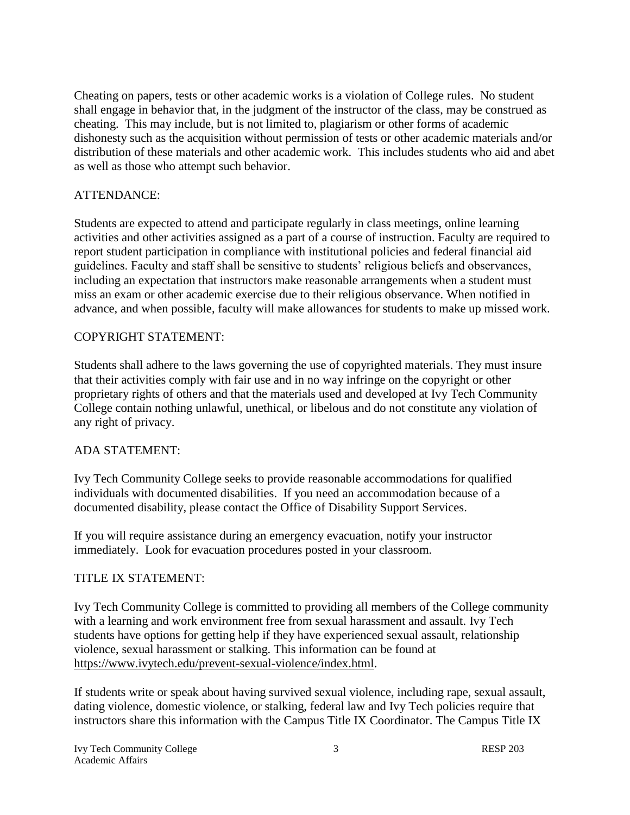Cheating on papers, tests or other academic works is a violation of College rules. No student shall engage in behavior that, in the judgment of the instructor of the class, may be construed as cheating. This may include, but is not limited to, plagiarism or other forms of academic dishonesty such as the acquisition without permission of tests or other academic materials and/or distribution of these materials and other academic work. This includes students who aid and abet as well as those who attempt such behavior.

# ATTENDANCE:

Students are expected to attend and participate regularly in class meetings, online learning activities and other activities assigned as a part of a course of instruction. Faculty are required to report student participation in compliance with institutional policies and federal financial aid guidelines. Faculty and staff shall be sensitive to students' religious beliefs and observances, including an expectation that instructors make reasonable arrangements when a student must miss an exam or other academic exercise due to their religious observance. When notified in advance, and when possible, faculty will make allowances for students to make up missed work.

# COPYRIGHT STATEMENT:

Students shall adhere to the laws governing the use of copyrighted materials. They must insure that their activities comply with fair use and in no way infringe on the copyright or other proprietary rights of others and that the materials used and developed at Ivy Tech Community College contain nothing unlawful, unethical, or libelous and do not constitute any violation of any right of privacy.

### ADA STATEMENT:

Ivy Tech Community College seeks to provide reasonable accommodations for qualified individuals with documented disabilities. If you need an accommodation because of a documented disability, please contact the Office of Disability Support Services.

If you will require assistance during an emergency evacuation, notify your instructor immediately. Look for evacuation procedures posted in your classroom.

### TITLE IX STATEMENT:

Ivy Tech Community College is committed to providing all members of the College community with a learning and work environment free from sexual harassment and assault. Ivy Tech students have options for getting help if they have experienced sexual assault, relationship violence, sexual harassment or stalking. This information can be found at [https://www.ivytech.edu/prevent-sexual-violence/index.html.](https://www.ivytech.edu/prevent-sexual-violence/index.html)

If students write or speak about having survived sexual violence, including rape, sexual assault, dating violence, domestic violence, or stalking, federal law and Ivy Tech policies require that instructors share this information with the Campus Title IX Coordinator. The Campus Title IX